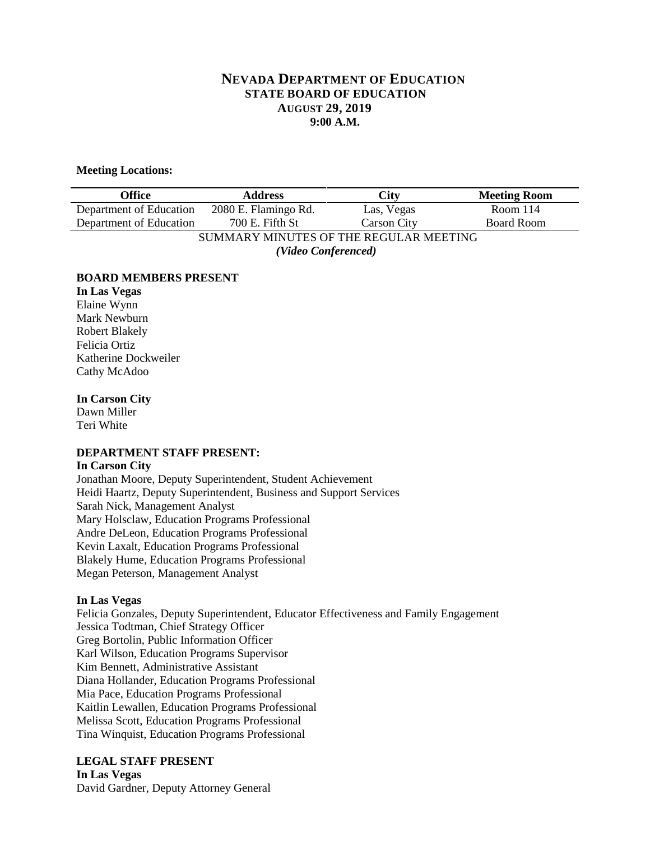# **NEVADA DEPARTMENT OF EDUCATION STATE BOARD OF EDUCATION AUGUST 29, 2019 9:00 A.M.**

### **Meeting Locations:**

| Office                                 | <b>Address</b>       | City               | <b>Meeting Room</b> |
|----------------------------------------|----------------------|--------------------|---------------------|
| Department of Education                | 2080 E. Flamingo Rd. | Las, Vegas         | Room $114$          |
| Department of Education                | 700 E. Fifth St      | <b>Carson City</b> | <b>Board Room</b>   |
| SUMMARY MINUTES OF THE REGULAR MEETING |                      |                    |                     |
| (Video Conferenced)                    |                      |                    |                     |

#### **BOARD MEMBERS PRESENT**

**In Las Vegas** Elaine Wynn Mark Newburn Robert Blakely Felicia Ortiz Katherine Dockweiler Cathy McAdoo

#### **In Carson City**

Dawn Miller Teri White

#### **DEPARTMENT STAFF PRESENT: In Carson City**

Jonathan Moore, Deputy Superintendent, Student Achievement Heidi Haartz, Deputy Superintendent, Business and Support Services Sarah Nick, Management Analyst Mary Holsclaw, Education Programs Professional Andre DeLeon, Education Programs Professional Kevin Laxalt, Education Programs Professional Blakely Hume, Education Programs Professional Megan Peterson, Management Analyst

#### **In Las Vegas**

Felicia Gonzales, Deputy Superintendent, Educator Effectiveness and Family Engagement Jessica Todtman, Chief Strategy Officer Greg Bortolin, Public Information Officer Karl Wilson, Education Programs Supervisor Kim Bennett, Administrative Assistant Diana Hollander, Education Programs Professional Mia Pace, Education Programs Professional Kaitlin Lewallen, Education Programs Professional Melissa Scott, Education Programs Professional Tina Winquist, Education Programs Professional

# **LEGAL STAFF PRESENT**

**In Las Vegas** David Gardner, Deputy Attorney General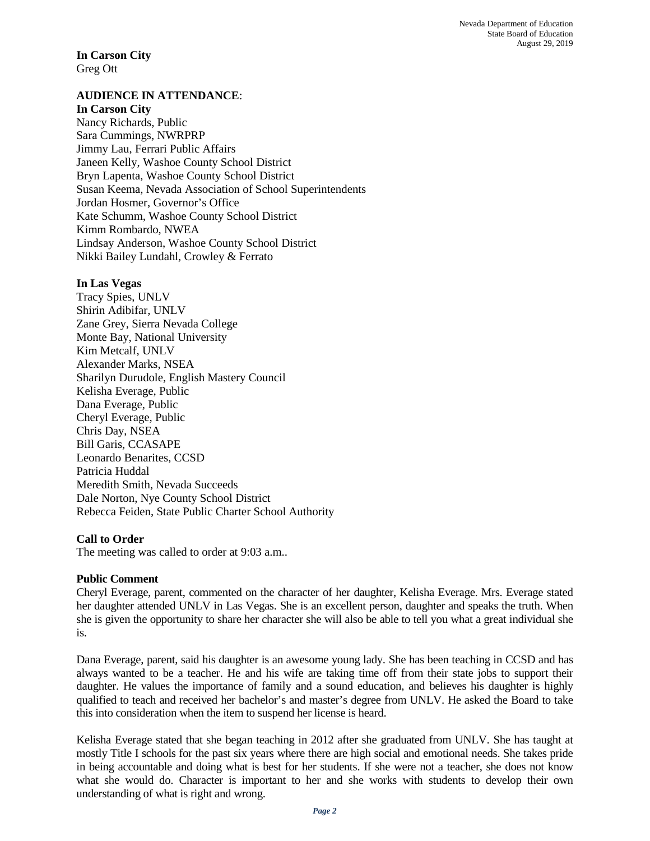Nevada Department of Education State Board of Education August 29, 2019

**In Carson City** Greg Ott

# **AUDIENCE IN ATTENDANCE**:

#### **In Carson City**

Nancy Richards, Public Sara Cummings, NWRPRP Jimmy Lau, Ferrari Public Affairs Janeen Kelly, Washoe County School District Bryn Lapenta, Washoe County School District Susan Keema, Nevada Association of School Superintendents Jordan Hosmer, Governor's Office Kate Schumm, Washoe County School District Kimm Rombardo, NWEA Lindsay Anderson, Washoe County School District Nikki Bailey Lundahl, Crowley & Ferrato

#### **In Las Vegas**

Tracy Spies, UNLV Shirin Adibifar, UNLV Zane Grey, Sierra Nevada College Monte Bay, National University Kim Metcalf, UNLV Alexander Marks, NSEA Sharilyn Durudole, English Mastery Council Kelisha Everage, Public Dana Everage, Public Cheryl Everage, Public Chris Day, NSEA Bill Garis, CCASAPE Leonardo Benarites, CCSD Patricia Huddal Meredith Smith, Nevada Succeeds Dale Norton, Nye County School District Rebecca Feiden, State Public Charter School Authority

## **Call to Order**

The meeting was called to order at 9:03 a.m..

## **Public Comment**

Cheryl Everage, parent, commented on the character of her daughter, Kelisha Everage. Mrs. Everage stated her daughter attended UNLV in Las Vegas. She is an excellent person, daughter and speaks the truth. When she is given the opportunity to share her character she will also be able to tell you what a great individual she is.

Dana Everage, parent, said his daughter is an awesome young lady. She has been teaching in CCSD and has always wanted to be a teacher. He and his wife are taking time off from their state jobs to support their daughter. He values the importance of family and a sound education, and believes his daughter is highly qualified to teach and received her bachelor's and master's degree from UNLV. He asked the Board to take this into consideration when the item to suspend her license is heard.

Kelisha Everage stated that she began teaching in 2012 after she graduated from UNLV. She has taught at mostly Title I schools for the past six years where there are high social and emotional needs. She takes pride in being accountable and doing what is best for her students. If she were not a teacher, she does not know what she would do. Character is important to her and she works with students to develop their own understanding of what is right and wrong.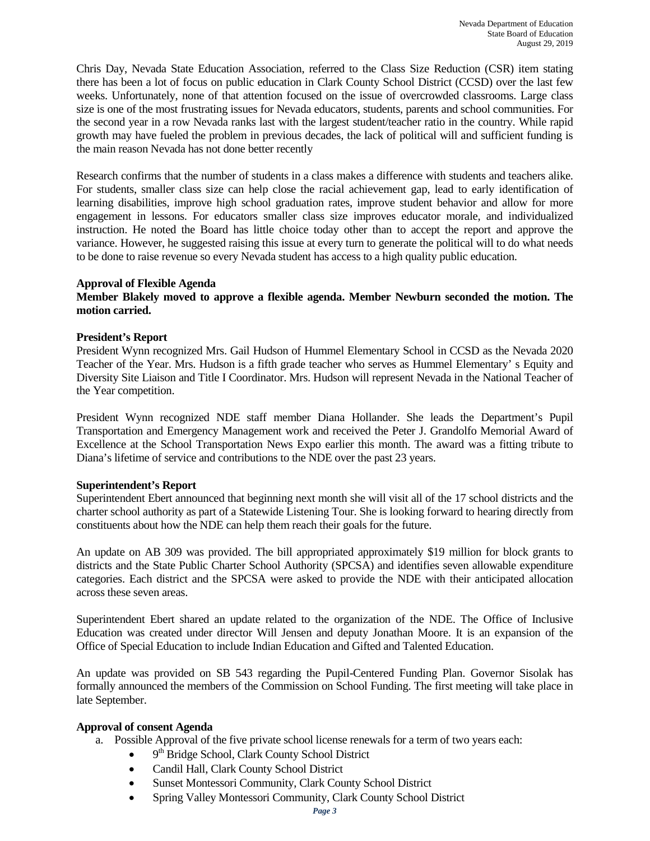Chris Day, Nevada State Education Association, referred to the Class Size Reduction (CSR) item stating there has been a lot of focus on public education in Clark County School District (CCSD) over the last few weeks. Unfortunately, none of that attention focused on the issue of overcrowded classrooms. Large class size is one of the most frustrating issues for Nevada educators, students, parents and school communities. For the second year in a row Nevada ranks last with the largest student/teacher ratio in the country. While rapid growth may have fueled the problem in previous decades, the lack of political will and sufficient funding is the main reason Nevada has not done better recently

Research confirms that the number of students in a class makes a difference with students and teachers alike. For students, smaller class size can help close the racial achievement gap, lead to early identification of learning disabilities, improve high school graduation rates, improve student behavior and allow for more engagement in lessons. For educators smaller class size improves educator morale, and individualized instruction. He noted the Board has little choice today other than to accept the report and approve the variance. However, he suggested raising this issue at every turn to generate the political will to do what needs to be done to raise revenue so every Nevada student has access to a high quality public education.

#### **Approval of Flexible Agenda**

## **Member Blakely moved to approve a flexible agenda. Member Newburn seconded the motion. The motion carried.**

#### **President's Report**

President Wynn recognized Mrs. Gail Hudson of Hummel Elementary School in CCSD as the Nevada 2020 Teacher of the Year. Mrs. Hudson is a fifth grade teacher who serves as Hummel Elementary' s Equity and Diversity Site Liaison and Title I Coordinator. Mrs. Hudson will represent Nevada in the National Teacher of the Year competition.

President Wynn recognized NDE staff member Diana Hollander. She leads the Department's Pupil Transportation and Emergency Management work and received the Peter J. Grandolfo Memorial Award of Excellence at the School Transportation News Expo earlier this month. The award was a fitting tribute to Diana's lifetime of service and contributions to the NDE over the past 23 years.

#### **Superintendent's Report**

Superintendent Ebert announced that beginning next month she will visit all of the 17 school districts and the charter school authority as part of a Statewide Listening Tour. She is looking forward to hearing directly from constituents about how the NDE can help them reach their goals for the future.

An update on AB 309 was provided. The bill appropriated approximately \$19 million for block grants to districts and the State Public Charter School Authority (SPCSA) and identifies seven allowable expenditure categories. Each district and the SPCSA were asked to provide the NDE with their anticipated allocation across these seven areas.

Superintendent Ebert shared an update related to the organization of the NDE. The Office of Inclusive Education was created under director Will Jensen and deputy Jonathan Moore. It is an expansion of the Office of Special Education to include Indian Education and Gifted and Talented Education.

An update was provided on SB 543 regarding the Pupil-Centered Funding Plan. Governor Sisolak has formally announced the members of the Commission on School Funding. The first meeting will take place in late September.

## **Approval of consent Agenda**

- a. Possible Approval of the five private school license renewals for a term of two years each:
	- $\bullet$  9<sup>th</sup> Bridge School, Clark County School District
	- Candil Hall, Clark County School District
	- Sunset Montessori Community, Clark County School District
	- Spring Valley Montessori Community, Clark County School District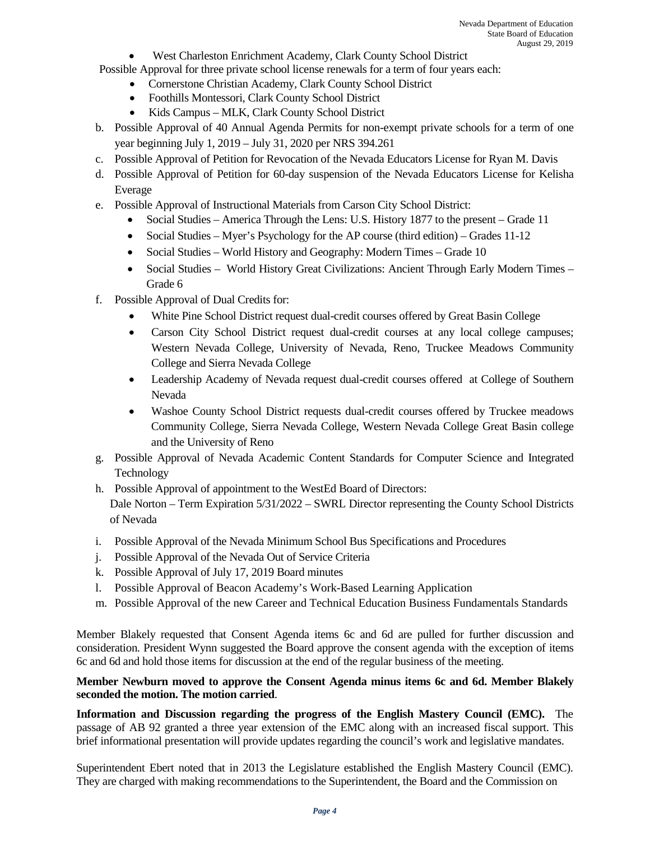• West Charleston Enrichment Academy, Clark County School District

Possible Approval for three private school license renewals for a term of four years each:

- Cornerstone Christian Academy, Clark County School District
- Foothills Montessori, Clark County School District
- Kids Campus MLK, Clark County School District
- b. Possible Approval of 40 Annual Agenda Permits for non-exempt private schools for a term of one year beginning July 1, 2019 – July 31, 2020 per NRS 394.261
- c. Possible Approval of Petition for Revocation of the Nevada Educators License for Ryan M. Davis
- d. Possible Approval of Petition for 60-day suspension of the Nevada Educators License for Kelisha Everage
- e. Possible Approval of Instructional Materials from Carson City School District:
	- Social Studies America Through the Lens: U.S. History 1877 to the present Grade 11
	- Social Studies Myer's Psychology for the AP course (third edition) Grades 11-12
	- Social Studies World History and Geography: Modern Times Grade 10
	- Social Studies World History Great Civilizations: Ancient Through Early Modern Times Grade 6
- f. Possible Approval of Dual Credits for:
	- White Pine School District request dual-credit courses offered by Great Basin College
	- Carson City School District request dual-credit courses at any local college campuses; Western Nevada College, University of Nevada, Reno, Truckee Meadows Community College and Sierra Nevada College
	- Leadership Academy of Nevada request dual-credit courses offered at College of Southern Nevada
	- Washoe County School District requests dual-credit courses offered by Truckee meadows Community College, Sierra Nevada College, Western Nevada College Great Basin college and the University of Reno
- g. Possible Approval of Nevada Academic Content Standards for Computer Science and Integrated Technology
- h. Possible Approval of appointment to the WestEd Board of Directors:

Dale Norton – Term Expiration 5/31/2022 – SWRL Director representing the County School Districts of Nevada

- i. Possible Approval of the Nevada Minimum School Bus Specifications and Procedures
- j. Possible Approval of the Nevada Out of Service Criteria
- k. Possible Approval of July 17, 2019 Board minutes
- l. Possible Approval of Beacon Academy's Work-Based Learning Application
- m. Possible Approval of the new Career and Technical Education Business Fundamentals Standards

Member Blakely requested that Consent Agenda items 6c and 6d are pulled for further discussion and consideration. President Wynn suggested the Board approve the consent agenda with the exception of items 6c and 6d and hold those items for discussion at the end of the regular business of the meeting.

## **Member Newburn moved to approve the Consent Agenda minus items 6c and 6d. Member Blakely seconded the motion. The motion carried**.

**Information and Discussion regarding the progress of the English Mastery Council (EMC).** The passage of AB 92 granted a three year extension of the EMC along with an increased fiscal support. This brief informational presentation will provide updates regarding the council's work and legislative mandates.

Superintendent Ebert noted that in 2013 the Legislature established the English Mastery Council (EMC). They are charged with making recommendations to the Superintendent, the Board and the Commission on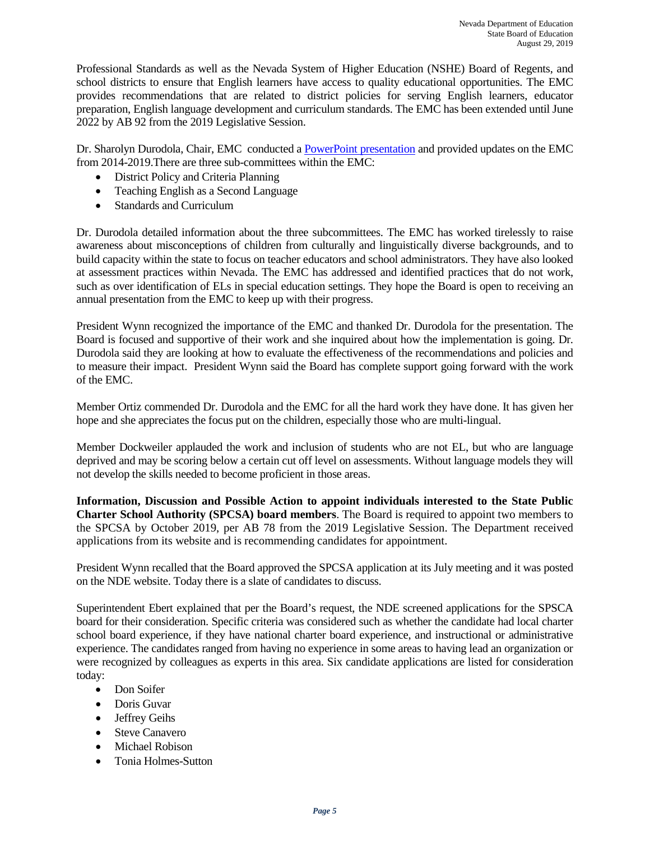Professional Standards as well as the Nevada System of Higher Education (NSHE) Board of Regents, and school districts to ensure that English learners have access to quality educational opportunities. The EMC provides recommendations that are related to district policies for serving English learners, educator preparation, English language development and curriculum standards. The EMC has been extended until June 2022 by AB 92 from the 2019 Legislative Session.

Dr. Sharolyn Durodola, Chair, EMC conducted a [PowerPoint presentation](http://www.doe.nv.gov/layouts/master/images/file_icons/pdf.png) and provided updates on the EMC from 2014-2019.There are three sub-committees within the EMC:

- District Policy and Criteria Planning
- Teaching English as a Second Language
- Standards and Curriculum

Dr. Durodola detailed information about the three subcommittees. The EMC has worked tirelessly to raise awareness about misconceptions of children from culturally and linguistically diverse backgrounds, and to build capacity within the state to focus on teacher educators and school administrators. They have also looked at assessment practices within Nevada. The EMC has addressed and identified practices that do not work, such as over identification of ELs in special education settings. They hope the Board is open to receiving an annual presentation from the EMC to keep up with their progress.

President Wynn recognized the importance of the EMC and thanked Dr. Durodola for the presentation. The Board is focused and supportive of their work and she inquired about how the implementation is going. Dr. Durodola said they are looking at how to evaluate the effectiveness of the recommendations and policies and to measure their impact. President Wynn said the Board has complete support going forward with the work of the EMC.

Member Ortiz commended Dr. Durodola and the EMC for all the hard work they have done. It has given her hope and she appreciates the focus put on the children, especially those who are multi-lingual.

Member Dockweiler applauded the work and inclusion of students who are not EL, but who are language deprived and may be scoring below a certain cut off level on assessments. Without language models they will not develop the skills needed to become proficient in those areas.

**Information, Discussion and Possible Action to appoint individuals interested to the State Public Charter School Authority (SPCSA) board members**. The Board is required to appoint two members to the SPCSA by October 2019, per AB 78 from the 2019 Legislative Session. The Department received applications from its website and is recommending candidates for appointment.

President Wynn recalled that the Board approved the SPCSA application at its July meeting and it was posted on the NDE website. Today there is a slate of candidates to discuss.

Superintendent Ebert explained that per the Board's request, the NDE screened applications for the SPSCA board for their consideration. Specific criteria was considered such as whether the candidate had local charter school board experience, if they have national charter board experience, and instructional or administrative experience. The candidates ranged from having no experience in some areas to having lead an organization or were recognized by colleagues as experts in this area. Six candidate applications are listed for consideration today:

- Don Soifer
- Doris Guvar
- Jeffrey Geihs
- Steve Canavero
- Michael Robison
- Tonia Holmes-Sutton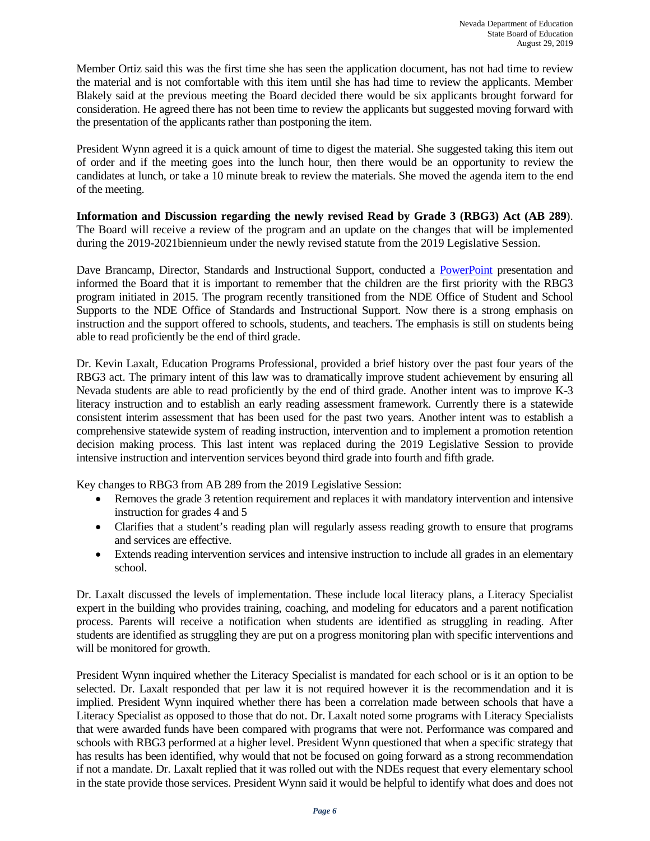Member Ortiz said this was the first time she has seen the application document, has not had time to review the material and is not comfortable with this item until she has had time to review the applicants. Member Blakely said at the previous meeting the Board decided there would be six applicants brought forward for consideration. He agreed there has not been time to review the applicants but suggested moving forward with the presentation of the applicants rather than postponing the item.

President Wynn agreed it is a quick amount of time to digest the material. She suggested taking this item out of order and if the meeting goes into the lunch hour, then there would be an opportunity to review the candidates at lunch, or take a 10 minute break to review the materials. She moved the agenda item to the end of the meeting.

**Information and Discussion regarding the newly revised Read by Grade 3 (RBG3) Act (AB 289**). The Board will receive a review of the program and an update on the changes that will be implemented during the 2019-2021biennieum under the newly revised statute from the 2019 Legislative Session.

Dave Brancamp, Director, Standards and Instructional Support, conducted a PowerPoint presentation and informed the Board that it is important to remember that the children are the first priority with the RBG3 program initiated in 2015. The program recently transitioned from the NDE Office of Student and School Supports to the NDE Office of Standards and Instructional Support. Now there is a strong emphasis on instruction and the support offered to schools, students, and teachers. The emphasis is still on students being able to read proficiently be the end of third grade.

Dr. Kevin Laxalt, Education Programs Professional, provided a brief history over the past four years of the RBG3 act. The primary intent of this law was to dramatically improve student achievement by ensuring all Nevada students are able to read proficiently by the end of third grade. Another intent was to improve K-3 literacy instruction and to establish an early reading assessment framework. Currently there is a statewide consistent interim assessment that has been used for the past two years. Another intent was to establish a comprehensive statewide system of reading instruction, intervention and to implement a promotion retention decision making process. This last intent was replaced during the 2019 Legislative Session to provide intensive instruction and intervention services beyond third grade into fourth and fifth grade.

Key changes to RBG3 from AB 289 from the 2019 Legislative Session:

- Removes the grade 3 retention requirement and replaces it with mandatory intervention and intensive instruction for grades 4 and 5
- Clarifies that a student's reading plan will regularly assess reading growth to ensure that programs and services are effective.
- Extends reading intervention services and intensive instruction to include all grades in an elementary school.

Dr. Laxalt discussed the levels of implementation. These include local literacy plans, a Literacy Specialist expert in the building who provides training, coaching, and modeling for educators and a parent notification process. Parents will receive a notification when students are identified as struggling in reading. After students are identified as struggling they are put on a progress monitoring plan with specific interventions and will be monitored for growth.

President Wynn inquired whether the Literacy Specialist is mandated for each school or is it an option to be selected. Dr. Laxalt responded that per law it is not required however it is the recommendation and it is implied. President Wynn inquired whether there has been a correlation made between schools that have a Literacy Specialist as opposed to those that do not. Dr. Laxalt noted some programs with Literacy Specialists that were awarded funds have been compared with programs that were not. Performance was compared and schools with RBG3 performed at a higher level. President Wynn questioned that when a specific strategy that has results has been identified, why would that not be focused on going forward as a strong recommendation if not a mandate. Dr. Laxalt replied that it was rolled out with the NDEs request that every elementary school in the state provide those services. President Wynn said it would be helpful to identify what does and does not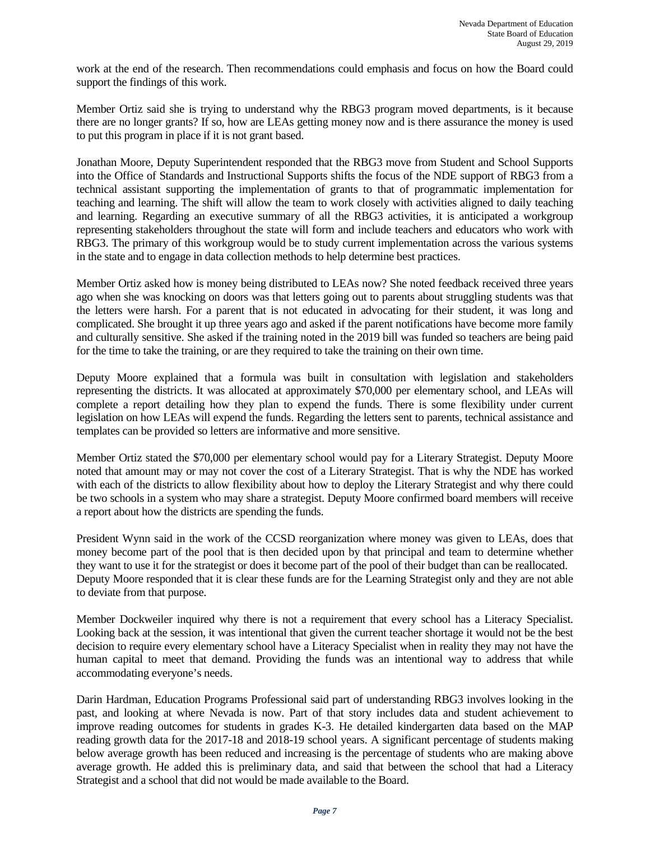work at the end of the research. Then recommendations could emphasis and focus on how the Board could support the findings of this work.

Member Ortiz said she is trying to understand why the RBG3 program moved departments, is it because there are no longer grants? If so, how are LEAs getting money now and is there assurance the money is used to put this program in place if it is not grant based.

Jonathan Moore, Deputy Superintendent responded that the RBG3 move from Student and School Supports into the Office of Standards and Instructional Supports shifts the focus of the NDE support of RBG3 from a technical assistant supporting the implementation of grants to that of programmatic implementation for teaching and learning. The shift will allow the team to work closely with activities aligned to daily teaching and learning. Regarding an executive summary of all the RBG3 activities, it is anticipated a workgroup representing stakeholders throughout the state will form and include teachers and educators who work with RBG3. The primary of this workgroup would be to study current implementation across the various systems in the state and to engage in data collection methods to help determine best practices.

Member Ortiz asked how is money being distributed to LEAs now? She noted feedback received three years ago when she was knocking on doors was that letters going out to parents about struggling students was that the letters were harsh. For a parent that is not educated in advocating for their student, it was long and complicated. She brought it up three years ago and asked if the parent notifications have become more family and culturally sensitive. She asked if the training noted in the 2019 bill was funded so teachers are being paid for the time to take the training, or are they required to take the training on their own time.

Deputy Moore explained that a formula was built in consultation with legislation and stakeholders representing the districts. It was allocated at approximately \$70,000 per elementary school, and LEAs will complete a report detailing how they plan to expend the funds. There is some flexibility under current legislation on how LEAs will expend the funds. Regarding the letters sent to parents, technical assistance and templates can be provided so letters are informative and more sensitive.

Member Ortiz stated the \$70,000 per elementary school would pay for a Literary Strategist. Deputy Moore noted that amount may or may not cover the cost of a Literary Strategist. That is why the NDE has worked with each of the districts to allow flexibility about how to deploy the Literary Strategist and why there could be two schools in a system who may share a strategist. Deputy Moore confirmed board members will receive a report about how the districts are spending the funds.

President Wynn said in the work of the CCSD reorganization where money was given to LEAs, does that money become part of the pool that is then decided upon by that principal and team to determine whether they want to use it for the strategist or does it become part of the pool of their budget than can be reallocated. Deputy Moore responded that it is clear these funds are for the Learning Strategist only and they are not able to deviate from that purpose.

Member Dockweiler inquired why there is not a requirement that every school has a Literacy Specialist. Looking back at the session, it was intentional that given the current teacher shortage it would not be the best decision to require every elementary school have a Literacy Specialist when in reality they may not have the human capital to meet that demand. Providing the funds was an intentional way to address that while accommodating everyone's needs.

Darin Hardman, Education Programs Professional said part of understanding RBG3 involves looking in the past, and looking at where Nevada is now. Part of that story includes data and student achievement to improve reading outcomes for students in grades K-3. He detailed kindergarten data based on the MAP reading growth data for the 2017-18 and 2018-19 school years. A significant percentage of students making below average growth has been reduced and increasing is the percentage of students who are making above average growth. He added this is preliminary data, and said that between the school that had a Literacy Strategist and a school that did not would be made available to the Board.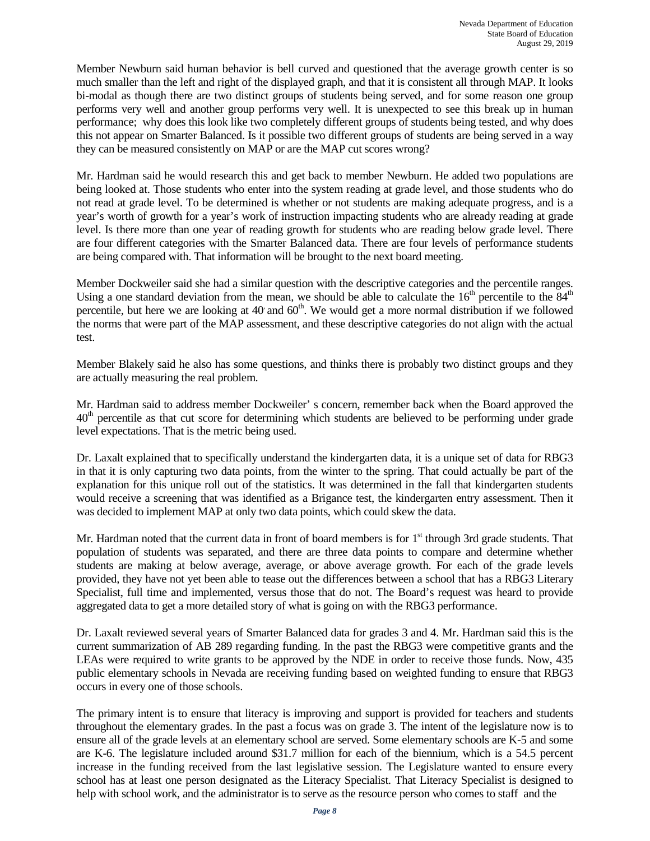Member Newburn said human behavior is bell curved and questioned that the average growth center is so much smaller than the left and right of the displayed graph, and that it is consistent all through MAP. It looks bi-modal as though there are two distinct groups of students being served, and for some reason one group performs very well and another group performs very well. It is unexpected to see this break up in human performance; why does this look like two completely different groups of students being tested, and why does this not appear on Smarter Balanced. Is it possible two different groups of students are being served in a way they can be measured consistently on MAP or are the MAP cut scores wrong?

Mr. Hardman said he would research this and get back to member Newburn. He added two populations are being looked at. Those students who enter into the system reading at grade level, and those students who do not read at grade level. To be determined is whether or not students are making adequate progress, and is a year's worth of growth for a year's work of instruction impacting students who are already reading at grade level. Is there more than one year of reading growth for students who are reading below grade level. There are four different categories with the Smarter Balanced data. There are four levels of performance students are being compared with. That information will be brought to the next board meeting.

Member Dockweiler said she had a similar question with the descriptive categories and the percentile ranges. Using a one standard deviation from the mean, we should be able to calculate the  $16<sup>th</sup>$  percentile to the  $84<sup>th</sup>$ percentile, but here we are looking at  $40$  and  $60<sup>th</sup>$ . We would get a more normal distribution if we followed the norms that were part of the MAP assessment, and these descriptive categories do not align with the actual test.

Member Blakely said he also has some questions, and thinks there is probably two distinct groups and they are actually measuring the real problem.

Mr. Hardman said to address member Dockweiler' s concern, remember back when the Board approved the  $40<sup>th</sup>$  percentile as that cut score for determining which students are believed to be performing under grade level expectations. That is the metric being used.

Dr. Laxalt explained that to specifically understand the kindergarten data, it is a unique set of data for RBG3 in that it is only capturing two data points, from the winter to the spring. That could actually be part of the explanation for this unique roll out of the statistics. It was determined in the fall that kindergarten students would receive a screening that was identified as a Brigance test, the kindergarten entry assessment. Then it was decided to implement MAP at only two data points, which could skew the data.

Mr. Hardman noted that the current data in front of board members is for  $1<sup>st</sup>$  through 3rd grade students. That population of students was separated, and there are three data points to compare and determine whether students are making at below average, average, or above average growth. For each of the grade levels provided, they have not yet been able to tease out the differences between a school that has a RBG3 Literary Specialist, full time and implemented, versus those that do not. The Board's request was heard to provide aggregated data to get a more detailed story of what is going on with the RBG3 performance.

Dr. Laxalt reviewed several years of Smarter Balanced data for grades 3 and 4. Mr. Hardman said this is the current summarization of AB 289 regarding funding. In the past the RBG3 were competitive grants and the LEAs were required to write grants to be approved by the NDE in order to receive those funds. Now, 435 public elementary schools in Nevada are receiving funding based on weighted funding to ensure that RBG3 occurs in every one of those schools.

The primary intent is to ensure that literacy is improving and support is provided for teachers and students throughout the elementary grades. In the past a focus was on grade 3. The intent of the legislature now is to ensure all of the grade levels at an elementary school are served. Some elementary schools are K-5 and some are K-6. The legislature included around \$31.7 million for each of the biennium, which is a 54.5 percent increase in the funding received from the last legislative session. The Legislature wanted to ensure every school has at least one person designated as the Literacy Specialist. That Literacy Specialist is designed to help with school work, and the administrator is to serve as the resource person who comes to staff and the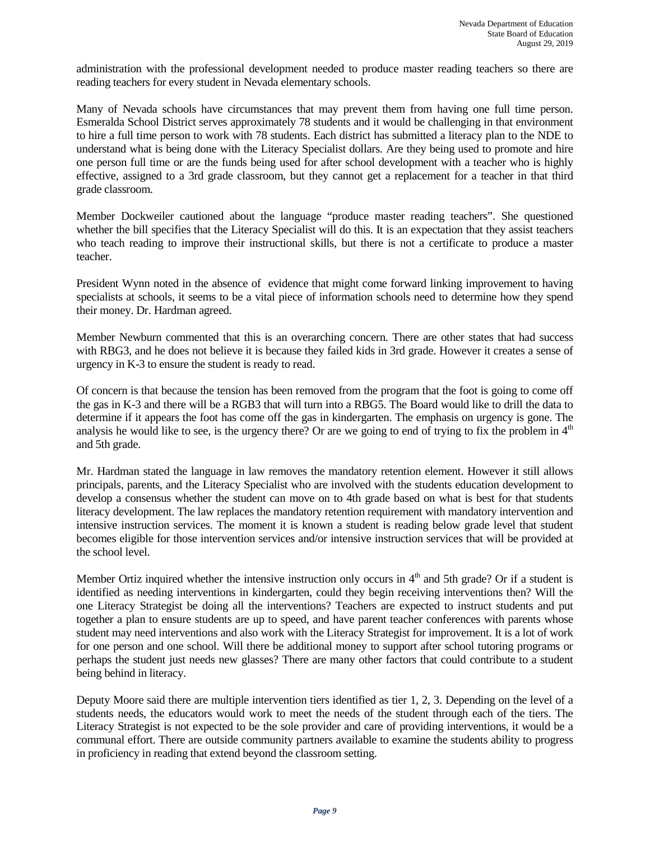administration with the professional development needed to produce master reading teachers so there are reading teachers for every student in Nevada elementary schools.

Many of Nevada schools have circumstances that may prevent them from having one full time person. Esmeralda School District serves approximately 78 students and it would be challenging in that environment to hire a full time person to work with 78 students. Each district has submitted a literacy plan to the NDE to understand what is being done with the Literacy Specialist dollars. Are they being used to promote and hire one person full time or are the funds being used for after school development with a teacher who is highly effective, assigned to a 3rd grade classroom, but they cannot get a replacement for a teacher in that third grade classroom.

Member Dockweiler cautioned about the language "produce master reading teachers". She questioned whether the bill specifies that the Literacy Specialist will do this. It is an expectation that they assist teachers who teach reading to improve their instructional skills, but there is not a certificate to produce a master teacher.

President Wynn noted in the absence of evidence that might come forward linking improvement to having specialists at schools, it seems to be a vital piece of information schools need to determine how they spend their money. Dr. Hardman agreed.

Member Newburn commented that this is an overarching concern. There are other states that had success with RBG3, and he does not believe it is because they failed kids in 3rd grade. However it creates a sense of urgency in K-3 to ensure the student is ready to read.

Of concern is that because the tension has been removed from the program that the foot is going to come off the gas in K-3 and there will be a RGB3 that will turn into a RBG5. The Board would like to drill the data to determine if it appears the foot has come off the gas in kindergarten. The emphasis on urgency is gone. The analysis he would like to see, is the urgency there? Or are we going to end of trying to fix the problem in  $4<sup>th</sup>$ and 5th grade.

Mr. Hardman stated the language in law removes the mandatory retention element. However it still allows principals, parents, and the Literacy Specialist who are involved with the students education development to develop a consensus whether the student can move on to 4th grade based on what is best for that students literacy development. The law replaces the mandatory retention requirement with mandatory intervention and intensive instruction services. The moment it is known a student is reading below grade level that student becomes eligible for those intervention services and/or intensive instruction services that will be provided at the school level.

Member Ortiz inquired whether the intensive instruction only occurs in  $4<sup>th</sup>$  and 5th grade? Or if a student is identified as needing interventions in kindergarten, could they begin receiving interventions then? Will the one Literacy Strategist be doing all the interventions? Teachers are expected to instruct students and put together a plan to ensure students are up to speed, and have parent teacher conferences with parents whose student may need interventions and also work with the Literacy Strategist for improvement. It is a lot of work for one person and one school. Will there be additional money to support after school tutoring programs or perhaps the student just needs new glasses? There are many other factors that could contribute to a student being behind in literacy.

Deputy Moore said there are multiple intervention tiers identified as tier 1, 2, 3. Depending on the level of a students needs, the educators would work to meet the needs of the student through each of the tiers. The Literacy Strategist is not expected to be the sole provider and care of providing interventions, it would be a communal effort. There are outside community partners available to examine the students ability to progress in proficiency in reading that extend beyond the classroom setting.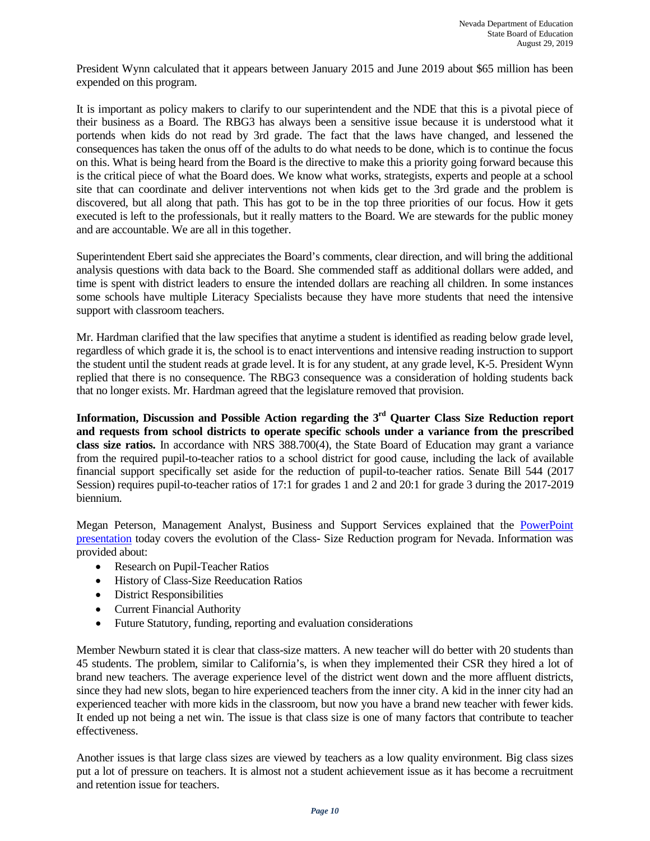President Wynn calculated that it appears between January 2015 and June 2019 about \$65 million has been expended on this program.

It is important as policy makers to clarify to our superintendent and the NDE that this is a pivotal piece of their business as a Board. The RBG3 has always been a sensitive issue because it is understood what it portends when kids do not read by 3rd grade. The fact that the laws have changed, and lessened the consequences has taken the onus off of the adults to do what needs to be done, which is to continue the focus on this. What is being heard from the Board is the directive to make this a priority going forward because this is the critical piece of what the Board does. We know what works, strategists, experts and people at a school site that can coordinate and deliver interventions not when kids get to the 3rd grade and the problem is discovered, but all along that path. This has got to be in the top three priorities of our focus. How it gets executed is left to the professionals, but it really matters to the Board. We are stewards for the public money and are accountable. We are all in this together.

Superintendent Ebert said she appreciates the Board's comments, clear direction, and will bring the additional analysis questions with data back to the Board. She commended staff as additional dollars were added, and time is spent with district leaders to ensure the intended dollars are reaching all children. In some instances some schools have multiple Literacy Specialists because they have more students that need the intensive support with classroom teachers.

Mr. Hardman clarified that the law specifies that anytime a student is identified as reading below grade level, regardless of which grade it is, the school is to enact interventions and intensive reading instruction to support the student until the student reads at grade level. It is for any student, at any grade level, K-5. President Wynn replied that there is no consequence. The RBG3 consequence was a consideration of holding students back that no longer exists. Mr. Hardman agreed that the legislature removed that provision.

**Information, Discussion and Possible Action regarding the 3rd Quarter Class Size Reduction report and requests from school districts to operate specific schools under a variance from the prescribed class size ratios.** In accordance with NRS 388.700(4), the State Board of Education may grant a variance from the required pupil-to-teacher ratios to a school district for good cause, including the lack of available financial support specifically set aside for the reduction of pupil-to-teacher ratios. Senate Bill 544 (2017 Session) requires pupil-to-teacher ratios of 17:1 for grades 1 and 2 and 20:1 for grade 3 during the 2017-2019 biennium.

Megan Peterson, Management Analyst, Business and Support Services explained that the [PowerPoint](http://www.doe.nv.gov/layouts/master/images/file_icons/ppt.png)  [presentation](http://www.doe.nv.gov/layouts/master/images/file_icons/ppt.png) today covers the evolution of the Class- Size Reduction program for Nevada. Information was provided about:

- Research on Pupil-Teacher Ratios
- History of Class-Size Reeducation Ratios
- District Responsibilities
- Current Financial Authority
- Future Statutory, funding, reporting and evaluation considerations

Member Newburn stated it is clear that class-size matters. A new teacher will do better with 20 students than 45 students. The problem, similar to California's, is when they implemented their CSR they hired a lot of brand new teachers. The average experience level of the district went down and the more affluent districts, since they had new slots, began to hire experienced teachers from the inner city. A kid in the inner city had an experienced teacher with more kids in the classroom, but now you have a brand new teacher with fewer kids. It ended up not being a net win. The issue is that class size is one of many factors that contribute to teacher effectiveness.

Another issues is that large class sizes are viewed by teachers as a low quality environment. Big class sizes put a lot of pressure on teachers. It is almost not a student achievement issue as it has become a recruitment and retention issue for teachers.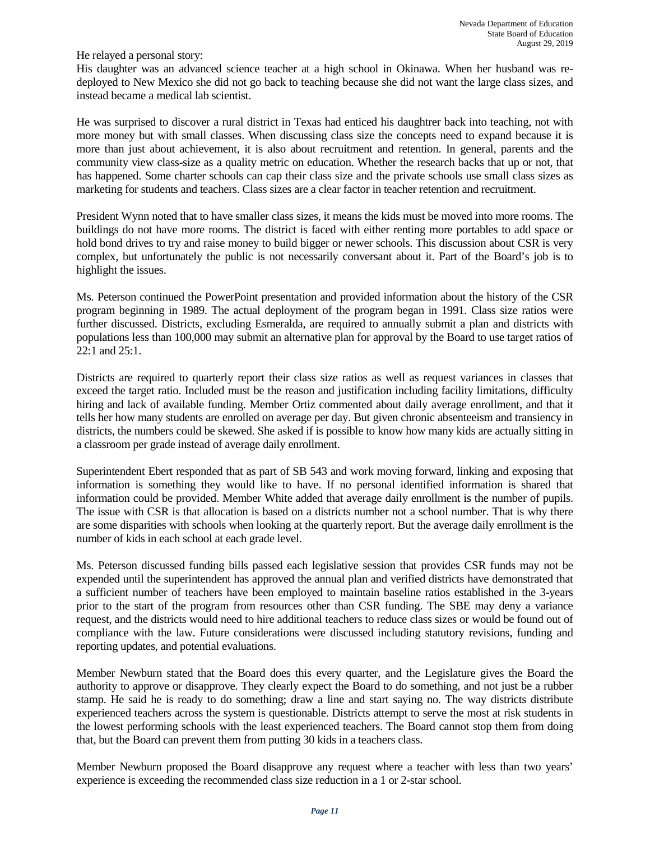He relayed a personal story:

His daughter was an advanced science teacher at a high school in Okinawa. When her husband was redeployed to New Mexico she did not go back to teaching because she did not want the large class sizes, and instead became a medical lab scientist.

He was surprised to discover a rural district in Texas had enticed his daughtrer back into teaching, not with more money but with small classes. When discussing class size the concepts need to expand because it is more than just about achievement, it is also about recruitment and retention. In general, parents and the community view class-size as a quality metric on education. Whether the research backs that up or not, that has happened. Some charter schools can cap their class size and the private schools use small class sizes as marketing for students and teachers. Class sizes are a clear factor in teacher retention and recruitment.

President Wynn noted that to have smaller class sizes, it means the kids must be moved into more rooms. The buildings do not have more rooms. The district is faced with either renting more portables to add space or hold bond drives to try and raise money to build bigger or newer schools. This discussion about CSR is very complex, but unfortunately the public is not necessarily conversant about it. Part of the Board's job is to highlight the issues.

Ms. Peterson continued the PowerPoint presentation and provided information about the history of the CSR program beginning in 1989. The actual deployment of the program began in 1991. Class size ratios were further discussed. Districts, excluding Esmeralda, are required to annually submit a plan and districts with populations less than 100,000 may submit an alternative plan for approval by the Board to use target ratios of 22:1 and 25:1.

Districts are required to quarterly report their class size ratios as well as request variances in classes that exceed the target ratio. Included must be the reason and justification including facility limitations, difficulty hiring and lack of available funding. Member Ortiz commented about daily average enrollment, and that it tells her how many students are enrolled on average per day. But given chronic absenteeism and transiency in districts, the numbers could be skewed. She asked if is possible to know how many kids are actually sitting in a classroom per grade instead of average daily enrollment.

Superintendent Ebert responded that as part of SB 543 and work moving forward, linking and exposing that information is something they would like to have. If no personal identified information is shared that information could be provided. Member White added that average daily enrollment is the number of pupils. The issue with CSR is that allocation is based on a districts number not a school number. That is why there are some disparities with schools when looking at the quarterly report. But the average daily enrollment is the number of kids in each school at each grade level.

Ms. Peterson discussed funding bills passed each legislative session that provides CSR funds may not be expended until the superintendent has approved the annual plan and verified districts have demonstrated that a sufficient number of teachers have been employed to maintain baseline ratios established in the 3-years prior to the start of the program from resources other than CSR funding. The SBE may deny a variance request, and the districts would need to hire additional teachers to reduce class sizes or would be found out of compliance with the law. Future considerations were discussed including statutory revisions, funding and reporting updates, and potential evaluations.

Member Newburn stated that the Board does this every quarter, and the Legislature gives the Board the authority to approve or disapprove. They clearly expect the Board to do something, and not just be a rubber stamp. He said he is ready to do something; draw a line and start saying no. The way districts distribute experienced teachers across the system is questionable. Districts attempt to serve the most at risk students in the lowest performing schools with the least experienced teachers. The Board cannot stop them from doing that, but the Board can prevent them from putting 30 kids in a teachers class.

Member Newburn proposed the Board disapprove any request where a teacher with less than two years' experience is exceeding the recommended class size reduction in a 1 or 2-star school.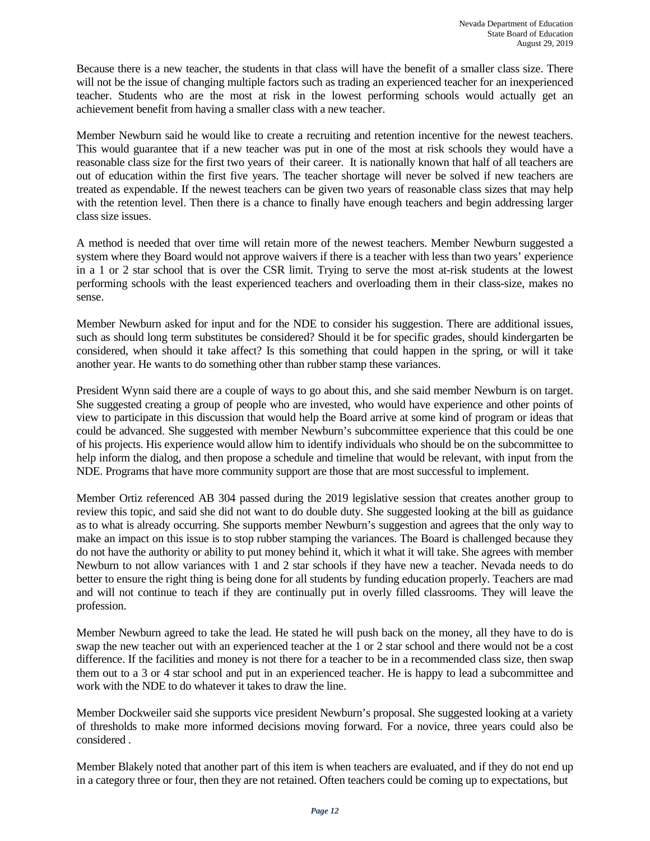Because there is a new teacher, the students in that class will have the benefit of a smaller class size. There will not be the issue of changing multiple factors such as trading an experienced teacher for an inexperienced teacher. Students who are the most at risk in the lowest performing schools would actually get an achievement benefit from having a smaller class with a new teacher.

Member Newburn said he would like to create a recruiting and retention incentive for the newest teachers. This would guarantee that if a new teacher was put in one of the most at risk schools they would have a reasonable class size for the first two years of their career. It is nationally known that half of all teachers are out of education within the first five years. The teacher shortage will never be solved if new teachers are treated as expendable. If the newest teachers can be given two years of reasonable class sizes that may help with the retention level. Then there is a chance to finally have enough teachers and begin addressing larger class size issues.

A method is needed that over time will retain more of the newest teachers. Member Newburn suggested a system where they Board would not approve waivers if there is a teacher with less than two years' experience in a 1 or 2 star school that is over the CSR limit. Trying to serve the most at-risk students at the lowest performing schools with the least experienced teachers and overloading them in their class-size, makes no sense.

Member Newburn asked for input and for the NDE to consider his suggestion. There are additional issues, such as should long term substitutes be considered? Should it be for specific grades, should kindergarten be considered, when should it take affect? Is this something that could happen in the spring, or will it take another year. He wants to do something other than rubber stamp these variances.

President Wynn said there are a couple of ways to go about this, and she said member Newburn is on target. She suggested creating a group of people who are invested, who would have experience and other points of view to participate in this discussion that would help the Board arrive at some kind of program or ideas that could be advanced. She suggested with member Newburn's subcommittee experience that this could be one of his projects. His experience would allow him to identify individuals who should be on the subcommittee to help inform the dialog, and then propose a schedule and timeline that would be relevant, with input from the NDE. Programs that have more community support are those that are most successful to implement.

Member Ortiz referenced AB 304 passed during the 2019 legislative session that creates another group to review this topic, and said she did not want to do double duty. She suggested looking at the bill as guidance as to what is already occurring. She supports member Newburn's suggestion and agrees that the only way to make an impact on this issue is to stop rubber stamping the variances. The Board is challenged because they do not have the authority or ability to put money behind it, which it what it will take. She agrees with member Newburn to not allow variances with 1 and 2 star schools if they have new a teacher. Nevada needs to do better to ensure the right thing is being done for all students by funding education properly. Teachers are mad and will not continue to teach if they are continually put in overly filled classrooms. They will leave the profession.

Member Newburn agreed to take the lead. He stated he will push back on the money, all they have to do is swap the new teacher out with an experienced teacher at the 1 or 2 star school and there would not be a cost difference. If the facilities and money is not there for a teacher to be in a recommended class size, then swap them out to a 3 or 4 star school and put in an experienced teacher. He is happy to lead a subcommittee and work with the NDE to do whatever it takes to draw the line.

Member Dockweiler said she supports vice president Newburn's proposal. She suggested looking at a variety of thresholds to make more informed decisions moving forward. For a novice, three years could also be considered .

Member Blakely noted that another part of this item is when teachers are evaluated, and if they do not end up in a category three or four, then they are not retained. Often teachers could be coming up to expectations, but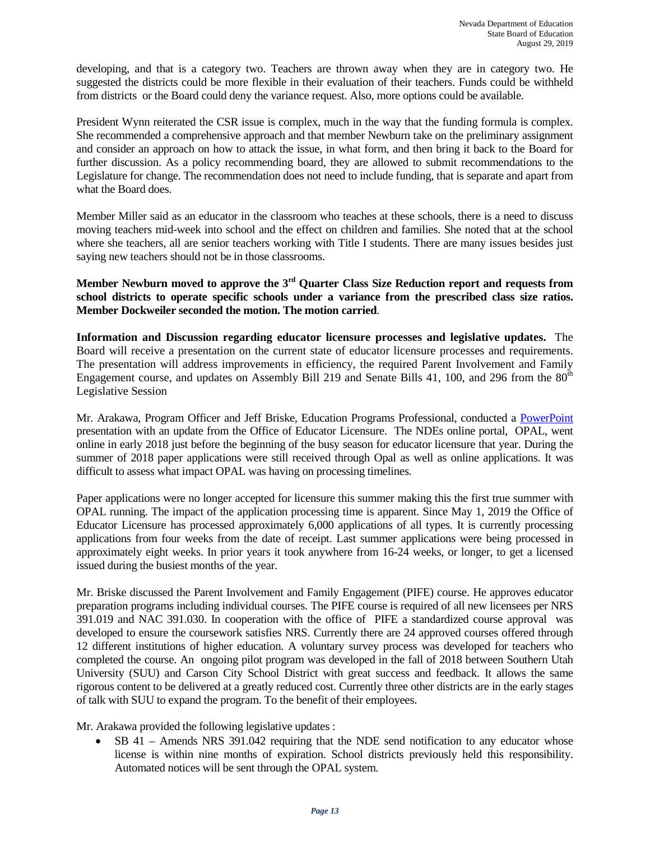developing, and that is a category two. Teachers are thrown away when they are in category two. He suggested the districts could be more flexible in their evaluation of their teachers. Funds could be withheld from districts or the Board could deny the variance request. Also, more options could be available.

President Wynn reiterated the CSR issue is complex, much in the way that the funding formula is complex. She recommended a comprehensive approach and that member Newburn take on the preliminary assignment and consider an approach on how to attack the issue, in what form, and then bring it back to the Board for further discussion. As a policy recommending board, they are allowed to submit recommendations to the Legislature for change. The recommendation does not need to include funding, that is separate and apart from what the Board does.

Member Miller said as an educator in the classroom who teaches at these schools, there is a need to discuss moving teachers mid-week into school and the effect on children and families. She noted that at the school where she teachers, all are senior teachers working with Title I students. There are many issues besides just saying new teachers should not be in those classrooms.

**Member Newburn moved to approve the 3rd Quarter Class Size Reduction report and requests from school districts to operate specific schools under a variance from the prescribed class size ratios. Member Dockweiler seconded the motion. The motion carried**.

**Information and Discussion regarding educator licensure processes and legislative updates.** The Board will receive a presentation on the current state of educator licensure processes and requirements. The presentation will address improvements in efficiency, the required Parent Involvement and Family Engagement course, and updates on Assembly Bill 219 and Senate Bills 41, 100, and 296 from the 80<sup>th</sup> Legislative Session

Mr. Arakawa, Program Officer and Jeff Briske, Education Programs Professional, conducted a [PowerPoint](http://www.doe.nv.gov/layouts/master/images/file_icons/pdf.png) presentation with an update from the Office of Educator Licensure. The NDEs online portal, OPAL, went online in early 2018 just before the beginning of the busy season for educator licensure that year. During the summer of 2018 paper applications were still received through Opal as well as online applications. It was difficult to assess what impact OPAL was having on processing timelines.

Paper applications were no longer accepted for licensure this summer making this the first true summer with OPAL running. The impact of the application processing time is apparent. Since May 1, 2019 the Office of Educator Licensure has processed approximately 6,000 applications of all types. It is currently processing applications from four weeks from the date of receipt. Last summer applications were being processed in approximately eight weeks. In prior years it took anywhere from 16-24 weeks, or longer, to get a licensed issued during the busiest months of the year.

Mr. Briske discussed the Parent Involvement and Family Engagement (PIFE) course. He approves educator preparation programs including individual courses. The PIFE course is required of all new licensees per NRS 391.019 and NAC 391.030. In cooperation with the office of PIFE a standardized course approval was developed to ensure the coursework satisfies NRS. Currently there are 24 approved courses offered through 12 different institutions of higher education. A voluntary survey process was developed for teachers who completed the course. An ongoing pilot program was developed in the fall of 2018 between Southern Utah University (SUU) and Carson City School District with great success and feedback. It allows the same rigorous content to be delivered at a greatly reduced cost. Currently three other districts are in the early stages of talk with SUU to expand the program. To the benefit of their employees.

Mr. Arakawa provided the following legislative updates :

• SB 41 – Amends NRS 391.042 requiring that the NDE send notification to any educator whose license is within nine months of expiration. School districts previously held this responsibility. Automated notices will be sent through the OPAL system.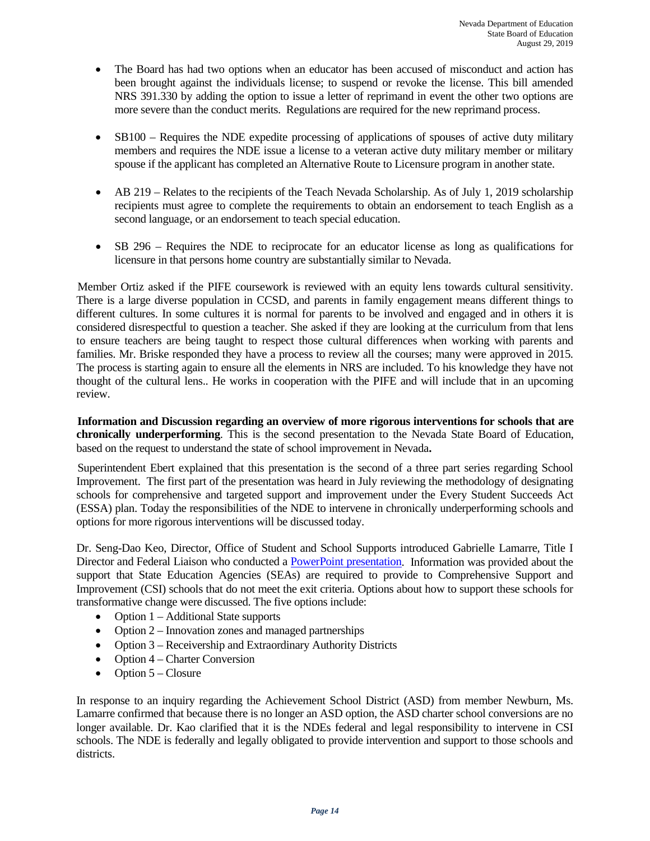- The Board has had two options when an educator has been accused of misconduct and action has been brought against the individuals license; to suspend or revoke the license. This bill amended NRS 391.330 by adding the option to issue a letter of reprimand in event the other two options are more severe than the conduct merits. Regulations are required for the new reprimand process.
- SB100 Requires the NDE expedite processing of applications of spouses of active duty military members and requires the NDE issue a license to a veteran active duty military member or military spouse if the applicant has completed an Alternative Route to Licensure program in another state.
- AB 219 Relates to the recipients of the Teach Nevada Scholarship. As of July 1, 2019 scholarship recipients must agree to complete the requirements to obtain an endorsement to teach English as a second language, or an endorsement to teach special education.
- SB 296 Requires the NDE to reciprocate for an educator license as long as qualifications for licensure in that persons home country are substantially similar to Nevada.

 Member Ortiz asked if the PIFE coursework is reviewed with an equity lens towards cultural sensitivity. There is a large diverse population in CCSD, and parents in family engagement means different things to different cultures. In some cultures it is normal for parents to be involved and engaged and in others it is considered disrespectful to question a teacher. She asked if they are looking at the curriculum from that lens to ensure teachers are being taught to respect those cultural differences when working with parents and families. Mr. Briske responded they have a process to review all the courses; many were approved in 2015. The process is starting again to ensure all the elements in NRS are included. To his knowledge they have not thought of the cultural lens.. He works in cooperation with the PIFE and will include that in an upcoming review.

 **Information and Discussion regarding an overview of more rigorous interventions for schools that are chronically underperforming**. This is the second presentation to the Nevada State Board of Education, based on the request to understand the state of school improvement in Nevada**.**

 Superintendent Ebert explained that this presentation is the second of a three part series regarding School Improvement. The first part of the presentation was heard in July reviewing the methodology of designating schools for comprehensive and targeted support and improvement under the Every Student Succeeds Act (ESSA) plan. Today the responsibilities of the NDE to intervene in chronically underperforming schools and options for more rigorous interventions will be discussed today.

Dr. Seng-Dao Keo, Director, Office of Student and School Supports introduced Gabrielle Lamarre, Title I Director and Federal Liaison who conducted [a PowerPoint presentation.](http://www.doe.nv.gov/layouts/master/images/file_icons/ppt.png) Information was provided about the support that State Education Agencies (SEAs) are required to provide to Comprehensive Support and Improvement (CSI) schools that do not meet the exit criteria. Options about how to support these schools for transformative change were discussed. The five options include:

- Option 1 Additional State supports
- Option 2 Innovation zones and managed partnerships
- Option 3 Receivership and Extraordinary Authority Districts
- Option 4 Charter Conversion
- Option  $5 -$ Closure

In response to an inquiry regarding the Achievement School District (ASD) from member Newburn, Ms. Lamarre confirmed that because there is no longer an ASD option, the ASD charter school conversions are no longer available. Dr. Kao clarified that it is the NDEs federal and legal responsibility to intervene in CSI schools. The NDE is federally and legally obligated to provide intervention and support to those schools and districts.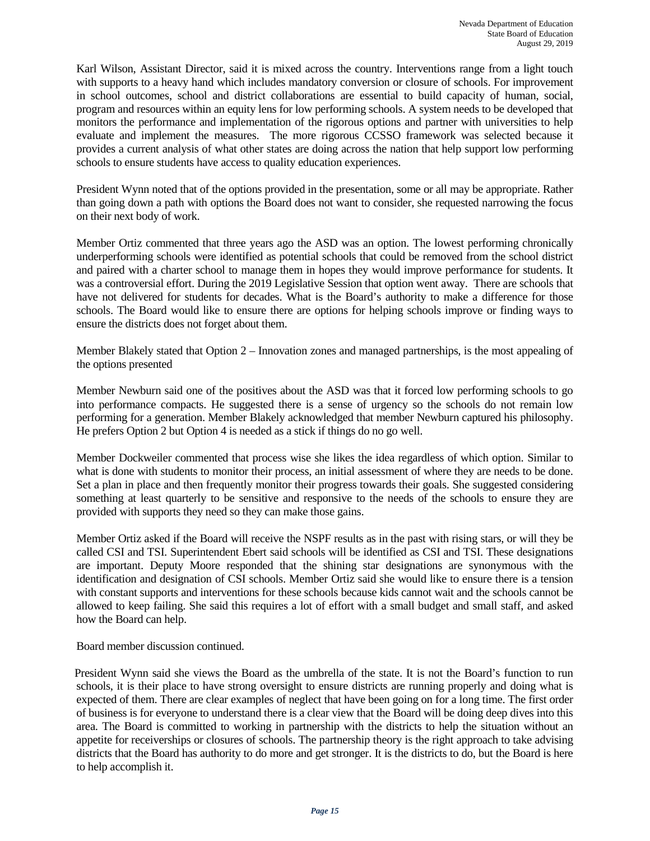Karl Wilson, Assistant Director, said it is mixed across the country. Interventions range from a light touch with supports to a heavy hand which includes mandatory conversion or closure of schools. For improvement in school outcomes, school and district collaborations are essential to build capacity of human, social, program and resources within an equity lens for low performing schools. A system needs to be developed that monitors the performance and implementation of the rigorous options and partner with universities to help evaluate and implement the measures. The more rigorous CCSSO framework was selected because it provides a current analysis of what other states are doing across the nation that help support low performing schools to ensure students have access to quality education experiences.

President Wynn noted that of the options provided in the presentation, some or all may be appropriate. Rather than going down a path with options the Board does not want to consider, she requested narrowing the focus on their next body of work.

Member Ortiz commented that three years ago the ASD was an option. The lowest performing chronically underperforming schools were identified as potential schools that could be removed from the school district and paired with a charter school to manage them in hopes they would improve performance for students. It was a controversial effort. During the 2019 Legislative Session that option went away. There are schools that have not delivered for students for decades. What is the Board's authority to make a difference for those schools. The Board would like to ensure there are options for helping schools improve or finding ways to ensure the districts does not forget about them.

Member Blakely stated that Option 2 – Innovation zones and managed partnerships, is the most appealing of the options presented

Member Newburn said one of the positives about the ASD was that it forced low performing schools to go into performance compacts. He suggested there is a sense of urgency so the schools do not remain low performing for a generation. Member Blakely acknowledged that member Newburn captured his philosophy. He prefers Option 2 but Option 4 is needed as a stick if things do no go well.

Member Dockweiler commented that process wise she likes the idea regardless of which option. Similar to what is done with students to monitor their process, an initial assessment of where they are needs to be done. Set a plan in place and then frequently monitor their progress towards their goals. She suggested considering something at least quarterly to be sensitive and responsive to the needs of the schools to ensure they are provided with supports they need so they can make those gains.

Member Ortiz asked if the Board will receive the NSPF results as in the past with rising stars, or will they be called CSI and TSI. Superintendent Ebert said schools will be identified as CSI and TSI. These designations are important. Deputy Moore responded that the shining star designations are synonymous with the identification and designation of CSI schools. Member Ortiz said she would like to ensure there is a tension with constant supports and interventions for these schools because kids cannot wait and the schools cannot be allowed to keep failing. She said this requires a lot of effort with a small budget and small staff, and asked how the Board can help.

Board member discussion continued.

 President Wynn said she views the Board as the umbrella of the state. It is not the Board's function to run schools, it is their place to have strong oversight to ensure districts are running properly and doing what is expected of them. There are clear examples of neglect that have been going on for a long time. The first order of business is for everyone to understand there is a clear view that the Board will be doing deep dives into this area. The Board is committed to working in partnership with the districts to help the situation without an appetite for receiverships or closures of schools. The partnership theory is the right approach to take advising districts that the Board has authority to do more and get stronger. It is the districts to do, but the Board is here to help accomplish it.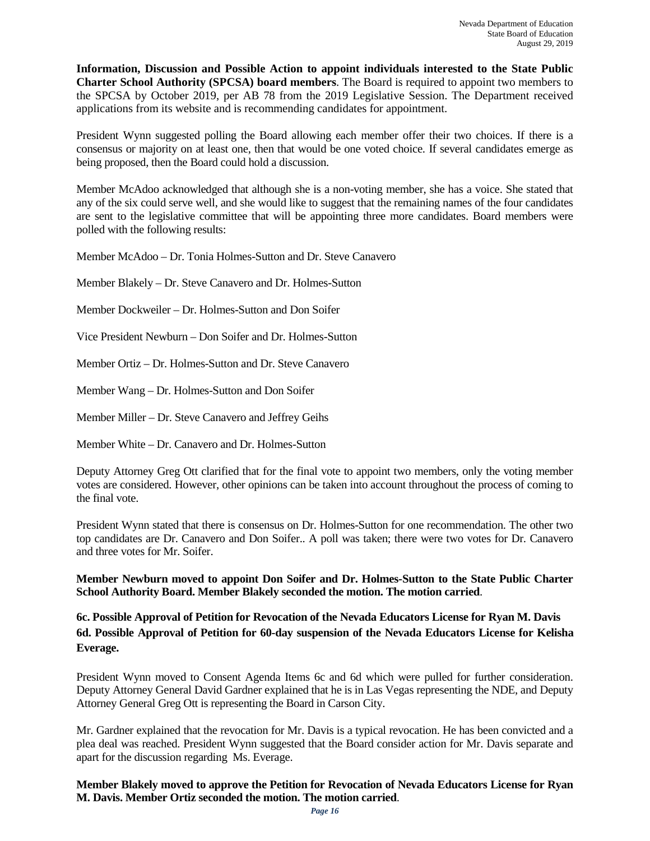**Information, Discussion and Possible Action to appoint individuals interested to the State Public Charter School Authority (SPCSA) board members**. The Board is required to appoint two members to the SPCSA by October 2019, per AB 78 from the 2019 Legislative Session. The Department received applications from its website and is recommending candidates for appointment.

President Wynn suggested polling the Board allowing each member offer their two choices. If there is a consensus or majority on at least one, then that would be one voted choice. If several candidates emerge as being proposed, then the Board could hold a discussion.

Member McAdoo acknowledged that although she is a non-voting member, she has a voice. She stated that any of the six could serve well, and she would like to suggest that the remaining names of the four candidates are sent to the legislative committee that will be appointing three more candidates. Board members were polled with the following results:

Member McAdoo – Dr. Tonia Holmes-Sutton and Dr. Steve Canavero

Member Blakely – Dr. Steve Canavero and Dr. Holmes-Sutton

Member Dockweiler – Dr. Holmes-Sutton and Don Soifer

Vice President Newburn – Don Soifer and Dr. Holmes-Sutton

Member Ortiz – Dr. Holmes-Sutton and Dr. Steve Canavero

Member Wang – Dr. Holmes-Sutton and Don Soifer

Member Miller – Dr. Steve Canavero and Jeffrey Geihs

Member White – Dr. Canavero and Dr. Holmes-Sutton

Deputy Attorney Greg Ott clarified that for the final vote to appoint two members, only the voting member votes are considered. However, other opinions can be taken into account throughout the process of coming to the final vote.

President Wynn stated that there is consensus on Dr. Holmes-Sutton for one recommendation. The other two top candidates are Dr. Canavero and Don Soifer.. A poll was taken; there were two votes for Dr. Canavero and three votes for Mr. Soifer.

**Member Newburn moved to appoint Don Soifer and Dr. Holmes-Sutton to the State Public Charter School Authority Board. Member Blakely seconded the motion. The motion carried**.

**6c. Possible Approval of Petition for Revocation of the Nevada Educators License for Ryan M. Davis 6d. Possible Approval of Petition for 60-day suspension of the Nevada Educators License for Kelisha Everage.**

President Wynn moved to Consent Agenda Items 6c and 6d which were pulled for further consideration. Deputy Attorney General David Gardner explained that he is in Las Vegas representing the NDE, and Deputy Attorney General Greg Ott is representing the Board in Carson City.

Mr. Gardner explained that the revocation for Mr. Davis is a typical revocation. He has been convicted and a plea deal was reached. President Wynn suggested that the Board consider action for Mr. Davis separate and apart for the discussion regarding Ms. Everage.

**Member Blakely moved to approve the Petition for Revocation of Nevada Educators License for Ryan M. Davis. Member Ortiz seconded the motion. The motion carried**.